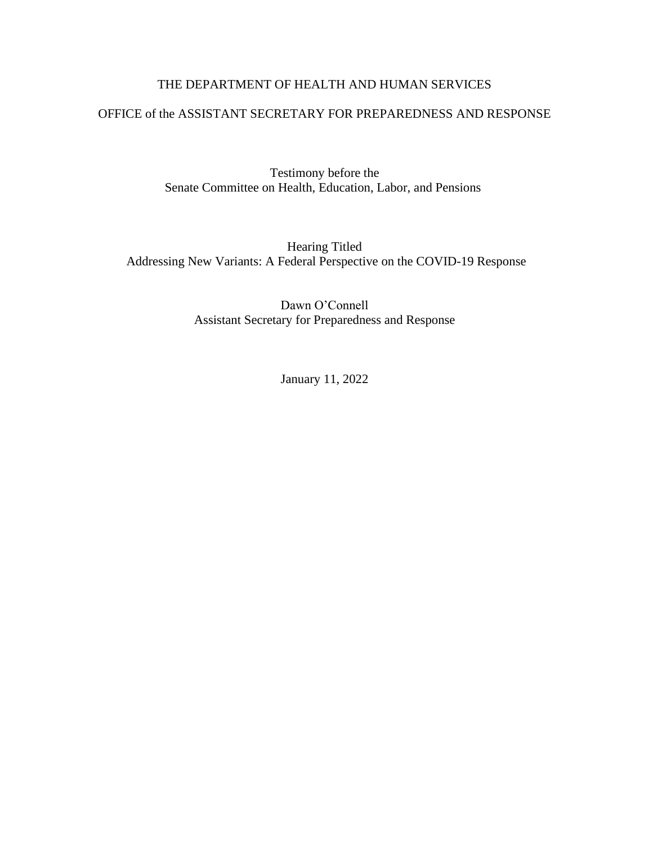# THE DEPARTMENT OF HEALTH AND HUMAN SERVICES

#### OFFICE of the ASSISTANT SECRETARY FOR PREPAREDNESS AND RESPONSE

Testimony before the Senate Committee on Health, Education, Labor, and Pensions

Hearing Titled Addressing New Variants: A Federal Perspective on the COVID-19 Response

> Dawn O'Connell Assistant Secretary for Preparedness and Response

> > January 11, 2022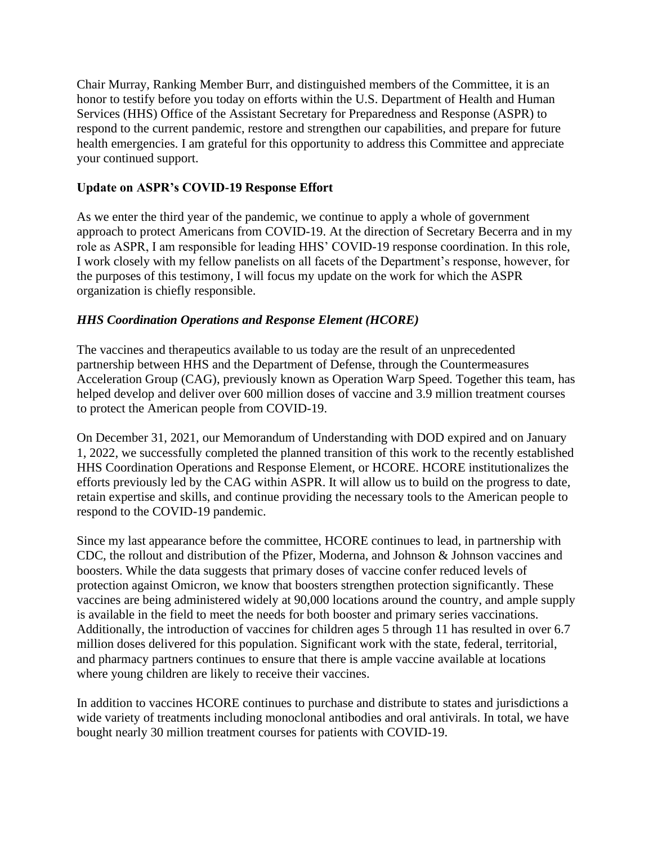Chair Murray, Ranking Member Burr, and distinguished members of the Committee, it is an honor to testify before you today on efforts within the U.S. Department of Health and Human Services (HHS) Office of the Assistant Secretary for Preparedness and Response (ASPR) to respond to the current pandemic, restore and strengthen our capabilities, and prepare for future health emergencies. I am grateful for this opportunity to address this Committee and appreciate your continued support.

## **Update on ASPR's COVID-19 Response Effort**

As we enter the third year of the pandemic, we continue to apply a whole of government approach to protect Americans from COVID-19. At the direction of Secretary Becerra and in my role as ASPR, I am responsible for leading HHS' COVID-19 response coordination. In this role, I work closely with my fellow panelists on all facets of the Department's response, however, for the purposes of this testimony, I will focus my update on the work for which the ASPR organization is chiefly responsible.

## *HHS Coordination Operations and Response Element (HCORE)*

The vaccines and therapeutics available to us today are the result of an unprecedented partnership between HHS and the Department of Defense, through the Countermeasures Acceleration Group (CAG), previously known as Operation Warp Speed. Together this team, has helped develop and deliver over 600 million doses of vaccine and 3.9 million treatment courses to protect the American people from COVID-19.

On December 31, 2021, our Memorandum of Understanding with DOD expired and on January 1, 2022, we successfully completed the planned transition of this work to the recently established HHS Coordination Operations and Response Element, or HCORE. HCORE institutionalizes the efforts previously led by the CAG within ASPR. It will allow us to build on the progress to date, retain expertise and skills, and continue providing the necessary tools to the American people to respond to the COVID-19 pandemic.

Since my last appearance before the committee, HCORE continues to lead, in partnership with CDC, the rollout and distribution of the Pfizer, Moderna, and Johnson & Johnson vaccines and boosters. While the data suggests that primary doses of vaccine confer reduced levels of protection against Omicron, we know that boosters strengthen protection significantly. These vaccines are being administered widely at 90,000 locations around the country, and ample supply is available in the field to meet the needs for both booster and primary series vaccinations. Additionally, the introduction of vaccines for children ages 5 through 11 has resulted in over 6.7 million doses delivered for this population. Significant work with the state, federal, territorial, and pharmacy partners continues to ensure that there is ample vaccine available at locations where young children are likely to receive their vaccines.

In addition to vaccines HCORE continues to purchase and distribute to states and jurisdictions a wide variety of treatments including monoclonal antibodies and oral antivirals. In total, we have bought nearly 30 million treatment courses for patients with COVID-19.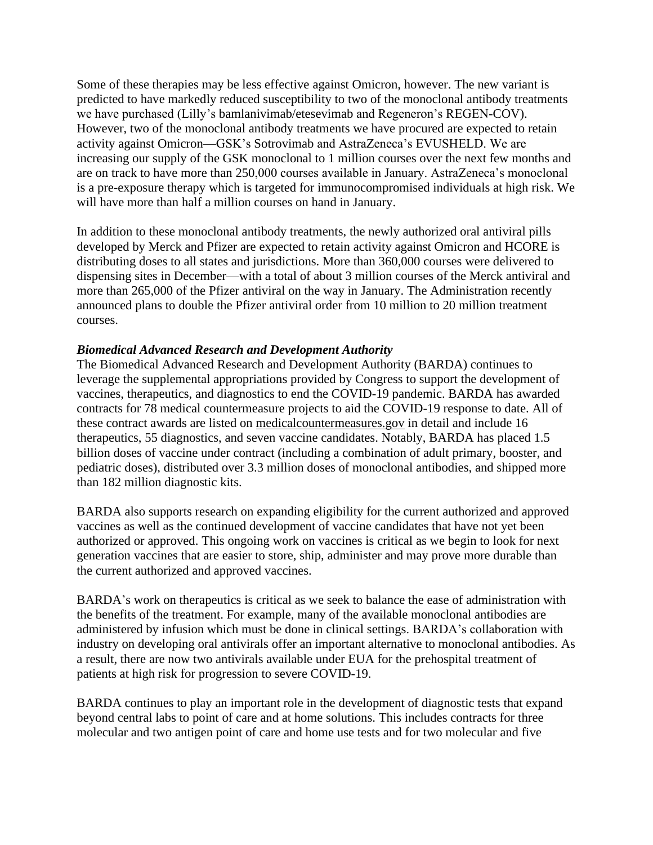Some of these therapies may be less effective against Omicron, however. The new variant is predicted to have markedly reduced susceptibility to two of the monoclonal antibody treatments we have purchased (Lilly's bamlanivimab/etesevimab and Regeneron's REGEN-COV). However, two of the monoclonal antibody treatments we have procured are expected to retain activity against Omicron—GSK's Sotrovimab and AstraZeneca's EVUSHELD. We are increasing our supply of the GSK monoclonal to 1 million courses over the next few months and are on track to have more than 250,000 courses available in January. AstraZeneca's monoclonal is a pre-exposure therapy which is targeted for immunocompromised individuals at high risk. We will have more than half a million courses on hand in January.

In addition to these monoclonal antibody treatments, the newly authorized oral antiviral pills developed by Merck and Pfizer are expected to retain activity against Omicron and HCORE is distributing doses to all states and jurisdictions. More than 360,000 courses were delivered to dispensing sites in December—with a total of about 3 million courses of the Merck antiviral and more than 265,000 of the Pfizer antiviral on the way in January. The Administration recently announced plans to double the Pfizer antiviral order from 10 million to 20 million treatment courses.

## *Biomedical Advanced Research and Development Authority*

The Biomedical Advanced Research and Development Authority (BARDA) continues to leverage the supplemental appropriations provided by Congress to support the development of vaccines, therapeutics, and diagnostics to end the COVID-19 pandemic. BARDA has awarded contracts for 78 medical countermeasure projects to aid the COVID-19 response to date. All of these contract awards are listed on medicalcountermeasures.gov in detail and include 16 therapeutics, 55 diagnostics, and seven vaccine candidates. Notably, BARDA has placed 1.5 billion doses of vaccine under contract (including a combination of adult primary, booster, and pediatric doses), distributed over 3.3 million doses of monoclonal antibodies, and shipped more than 182 million diagnostic kits.

BARDA also supports research on expanding eligibility for the current authorized and approved vaccines as well as the continued development of vaccine candidates that have not yet been authorized or approved. This ongoing work on vaccines is critical as we begin to look for next generation vaccines that are easier to store, ship, administer and may prove more durable than the current authorized and approved vaccines.

BARDA's work on therapeutics is critical as we seek to balance the ease of administration with the benefits of the treatment. For example, many of the available monoclonal antibodies are administered by infusion which must be done in clinical settings. BARDA's collaboration with industry on developing oral antivirals offer an important alternative to monoclonal antibodies. As a result, there are now two antivirals available under EUA for the prehospital treatment of patients at high risk for progression to severe COVID-19.

BARDA continues to play an important role in the development of diagnostic tests that expand beyond central labs to point of care and at home solutions. This includes contracts for three molecular and two antigen point of care and home use tests and for two molecular and five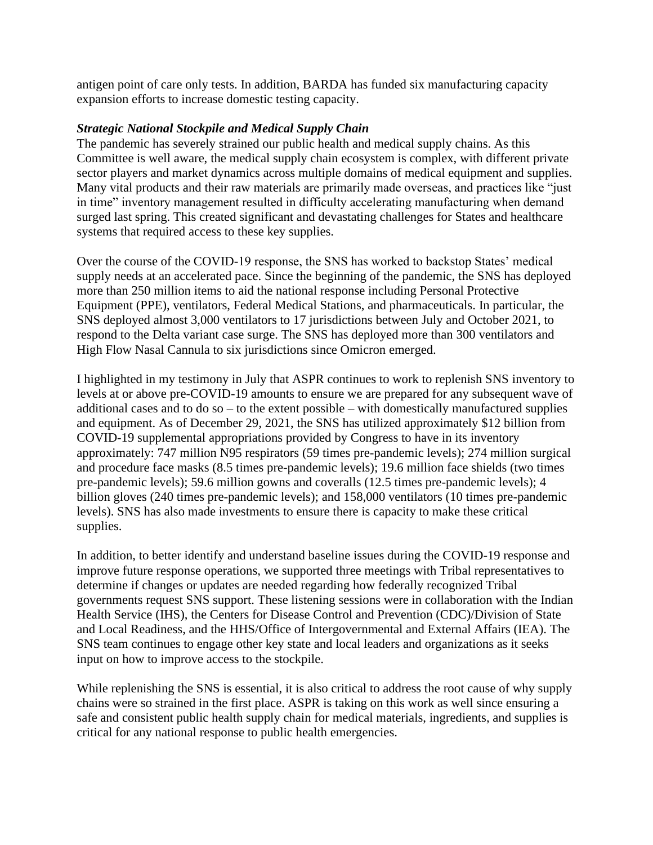antigen point of care only tests. In addition, BARDA has funded six manufacturing capacity expansion efforts to increase domestic testing capacity.

## *Strategic National Stockpile and Medical Supply Chain*

The pandemic has severely strained our public health and medical supply chains. As this Committee is well aware, the medical supply chain ecosystem is complex, with different private sector players and market dynamics across multiple domains of medical equipment and supplies. Many vital products and their raw materials are primarily made overseas, and practices like "just in time" inventory management resulted in difficulty accelerating manufacturing when demand surged last spring. This created significant and devastating challenges for States and healthcare systems that required access to these key supplies.

Over the course of the COVID-19 response, the SNS has worked to backstop States' medical supply needs at an accelerated pace. Since the beginning of the pandemic, the SNS has deployed more than 250 million items to aid the national response including Personal Protective Equipment (PPE), ventilators, Federal Medical Stations, and pharmaceuticals. In particular, the SNS deployed almost 3,000 ventilators to 17 jurisdictions between July and October 2021, to respond to the Delta variant case surge. The SNS has deployed more than 300 ventilators and High Flow Nasal Cannula to six jurisdictions since Omicron emerged.

I highlighted in my testimony in July that ASPR continues to work to replenish SNS inventory to levels at or above pre-COVID-19 amounts to ensure we are prepared for any subsequent wave of additional cases and to do so – to the extent possible – with domestically manufactured supplies and equipment. As of December 29, 2021, the SNS has utilized approximately \$12 billion from COVID-19 supplemental appropriations provided by Congress to have in its inventory approximately: 747 million N95 respirators (59 times pre-pandemic levels); 274 million surgical and procedure face masks (8.5 times pre-pandemic levels); 19.6 million face shields (two times pre-pandemic levels); 59.6 million gowns and coveralls (12.5 times pre-pandemic levels); 4 billion gloves (240 times pre-pandemic levels); and 158,000 ventilators (10 times pre-pandemic levels). SNS has also made investments to ensure there is capacity to make these critical supplies.

In addition, to better identify and understand baseline issues during the COVID-19 response and improve future response operations, we supported three meetings with Tribal representatives to determine if changes or updates are needed regarding how federally recognized Tribal governments request SNS support. These listening sessions were in collaboration with the Indian Health Service (IHS), the Centers for Disease Control and Prevention (CDC)/Division of State and Local Readiness, and the HHS/Office of Intergovernmental and External Affairs (IEA). The SNS team continues to engage other key state and local leaders and organizations as it seeks input on how to improve access to the stockpile.

While replenishing the SNS is essential, it is also critical to address the root cause of why supply chains were so strained in the first place. ASPR is taking on this work as well since ensuring a safe and consistent public health supply chain for medical materials, ingredients, and supplies is critical for any national response to public health emergencies.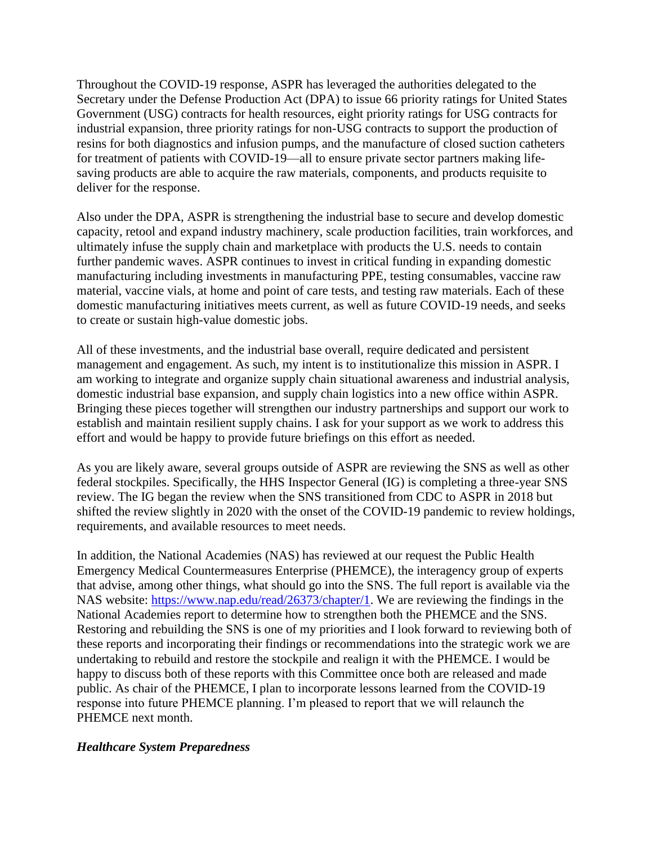Throughout the COVID-19 response, ASPR has leveraged the authorities delegated to the Secretary under the Defense Production Act (DPA) to issue 66 priority ratings for United States Government (USG) contracts for health resources, eight priority ratings for USG contracts for industrial expansion, three priority ratings for non-USG contracts to support the production of resins for both diagnostics and infusion pumps, and the manufacture of closed suction catheters for treatment of patients with COVID-19—all to ensure private sector partners making lifesaving products are able to acquire the raw materials, components, and products requisite to deliver for the response.

Also under the DPA, ASPR is strengthening the industrial base to secure and develop domestic capacity, retool and expand industry machinery, scale production facilities, train workforces, and ultimately infuse the supply chain and marketplace with products the U.S. needs to contain further pandemic waves. ASPR continues to invest in critical funding in expanding domestic manufacturing including investments in manufacturing PPE, testing consumables, vaccine raw material, vaccine vials, at home and point of care tests, and testing raw materials. Each of these domestic manufacturing initiatives meets current, as well as future COVID-19 needs, and seeks to create or sustain high-value domestic jobs.

All of these investments, and the industrial base overall, require dedicated and persistent management and engagement. As such, my intent is to institutionalize this mission in ASPR. I am working to integrate and organize supply chain situational awareness and industrial analysis, domestic industrial base expansion, and supply chain logistics into a new office within ASPR. Bringing these pieces together will strengthen our industry partnerships and support our work to establish and maintain resilient supply chains. I ask for your support as we work to address this effort and would be happy to provide future briefings on this effort as needed.

As you are likely aware, several groups outside of ASPR are reviewing the SNS as well as other federal stockpiles. Specifically, the HHS Inspector General (IG) is completing a three-year SNS review. The IG began the review when the SNS transitioned from CDC to ASPR in 2018 but shifted the review slightly in 2020 with the onset of the COVID-19 pandemic to review holdings, requirements, and available resources to meet needs.

In addition, the National Academies (NAS) has reviewed at our request the Public Health Emergency Medical Countermeasures Enterprise (PHEMCE), the interagency group of experts that advise, among other things, what should go into the SNS. The full report is available via the NAS website: [https://www.nap.edu/read/26373/chapter/1.](https://www.nap.edu/read/26373/chapter/1) We are reviewing the findings in the National Academies report to determine how to strengthen both the PHEMCE and the SNS. Restoring and rebuilding the SNS is one of my priorities and I look forward to reviewing both of these reports and incorporating their findings or recommendations into the strategic work we are undertaking to rebuild and restore the stockpile and realign it with the PHEMCE. I would be happy to discuss both of these reports with this Committee once both are released and made public. As chair of the PHEMCE, I plan to incorporate lessons learned from the COVID-19 response into future PHEMCE planning. I'm pleased to report that we will relaunch the PHEMCE next month.

#### *Healthcare System Preparedness*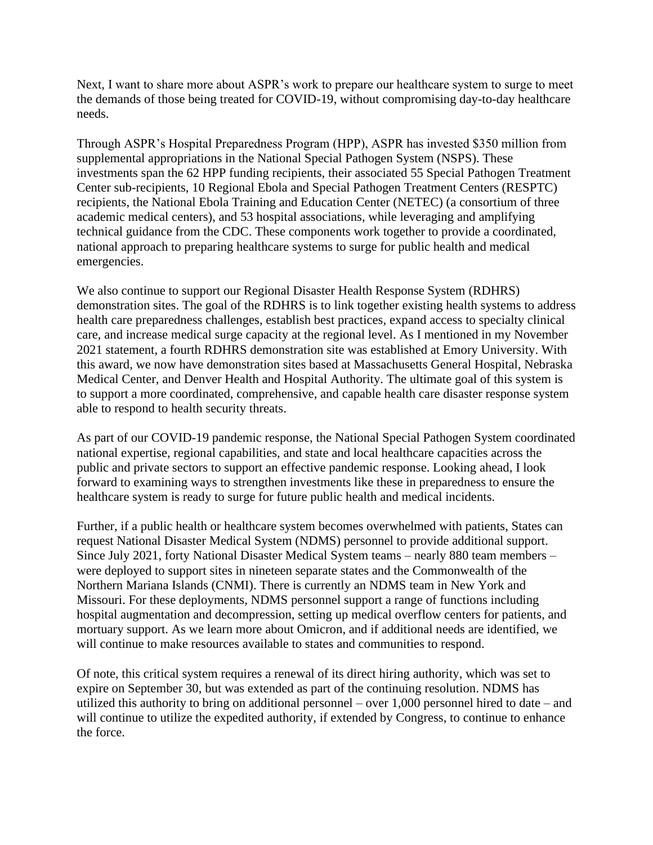Next, I want to share more about ASPR's work to prepare our healthcare system to surge to meet the demands of those being treated for COVID-19, without compromising day-to-day healthcare needs.

Through ASPR's Hospital Preparedness Program (HPP), ASPR has invested \$350 million from supplemental appropriations in the National Special Pathogen System (NSPS). These investments span the 62 HPP funding recipients, their associated 55 Special Pathogen Treatment Center sub-recipients, 10 Regional Ebola and Special Pathogen Treatment Centers (RESPTC) recipients, the National Ebola Training and Education Center (NETEC) (a consortium of three academic medical centers), and 53 hospital associations, while leveraging and amplifying technical guidance from the CDC. These components work together to provide a coordinated, national approach to preparing healthcare systems to surge for public health and medical emergencies.

We also continue to support our Regional Disaster Health Response System (RDHRS) demonstration sites. The goal of the RDHRS is to link together existing health systems to address health care preparedness challenges, establish best practices, expand access to specialty clinical care, and increase medical surge capacity at the regional level. As I mentioned in my November 2021 statement, a fourth RDHRS demonstration site was established at Emory University. With this award, we now have demonstration sites based at Massachusetts General Hospital, Nebraska Medical Center, and Denver Health and Hospital Authority. The ultimate goal of this system is to support a more coordinated, comprehensive, and capable health care disaster response system able to respond to health security threats.

As part of our COVID-19 pandemic response, the National Special Pathogen System coordinated national expertise, regional capabilities, and state and local healthcare capacities across the public and private sectors to support an effective pandemic response. Looking ahead, I look forward to examining ways to strengthen investments like these in preparedness to ensure the healthcare system is ready to surge for future public health and medical incidents.

Further, if a public health or healthcare system becomes overwhelmed with patients, States can request National Disaster Medical System (NDMS) personnel to provide additional support. Since July 2021, forty National Disaster Medical System teams – nearly 880 team members – were deployed to support sites in nineteen separate states and the Commonwealth of the Northern Mariana Islands (CNMI). There is currently an NDMS team in New York and Missouri. For these deployments, NDMS personnel support a range of functions including hospital augmentation and decompression, setting up medical overflow centers for patients, and mortuary support. As we learn more about Omicron, and if additional needs are identified, we will continue to make resources available to states and communities to respond.

Of note, this critical system requires a renewal of its direct hiring authority, which was set to expire on September 30, but was extended as part of the continuing resolution. NDMS has utilized this authority to bring on additional personnel – over 1,000 personnel hired to date – and will continue to utilize the expedited authority, if extended by Congress, to continue to enhance the force.